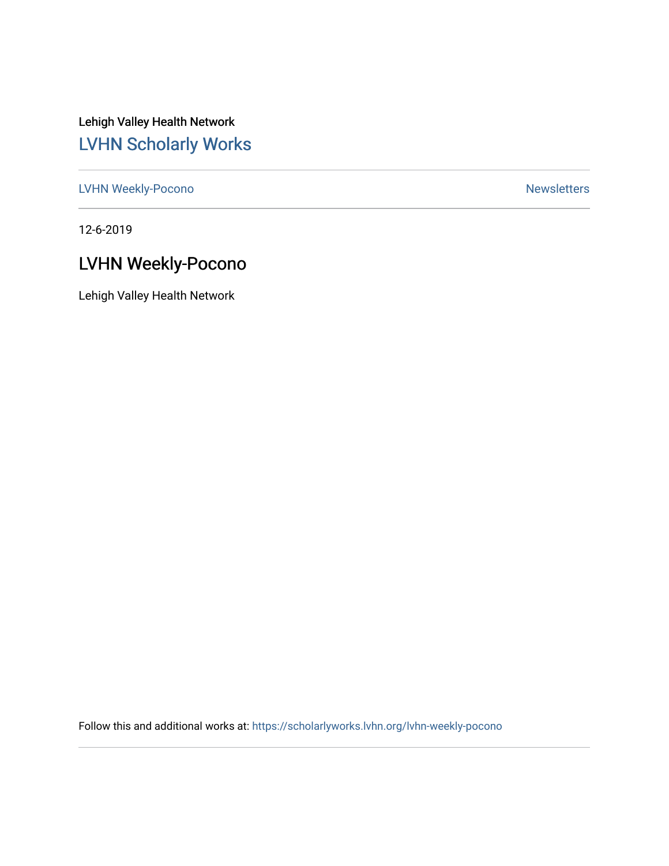Lehigh Valley Health Network [LVHN Scholarly Works](https://scholarlyworks.lvhn.org/)

[LVHN Weekly-Pocono](https://scholarlyworks.lvhn.org/lvhn-weekly-pocono) Newsletters

12-6-2019

# LVHN Weekly-Pocono

Lehigh Valley Health Network

Follow this and additional works at: [https://scholarlyworks.lvhn.org/lvhn-weekly-pocono](https://scholarlyworks.lvhn.org/lvhn-weekly-pocono?utm_source=scholarlyworks.lvhn.org%2Flvhn-weekly-pocono%2F107&utm_medium=PDF&utm_campaign=PDFCoverPages)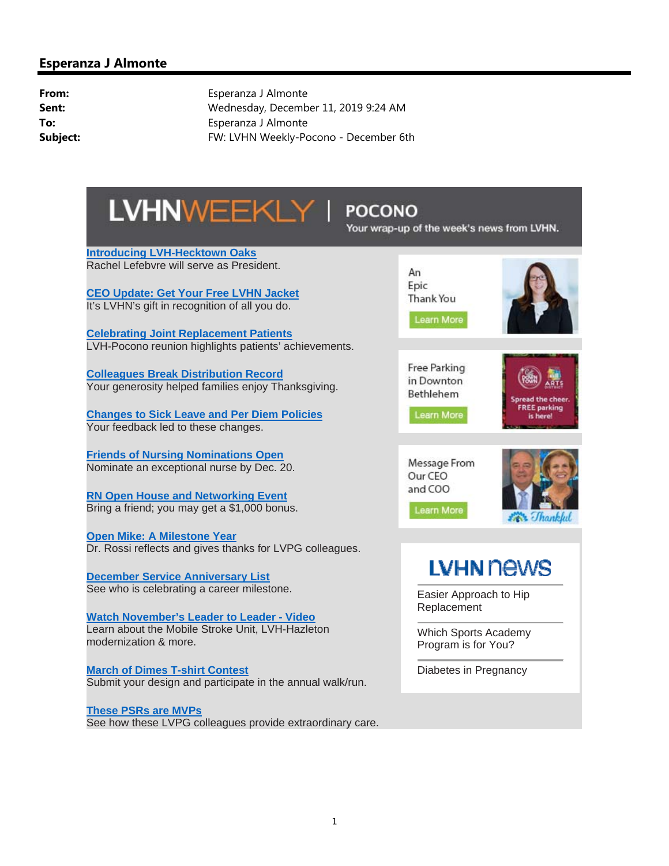

### **POCONO**

Your wrap-up of the week's news from LVHN.

**Introducing LVH-Hecktown Oaks** Rachel Lefebvre will serve as President.

**CEO Update: Get Your Free LVHN Jacket** It's LVHN's gift in recognition of all you do.

**Celebrating Joint Replacement Patients**  LVH-Pocono reunion highlights patients' achievements.

**Colleagues Break Distribution Record** Your generosity helped families enjoy Thanksgiving.

**Changes to Sick Leave and Per Diem Policies** Your feedback led to these changes.

**Friends of Nursing Nominations Open** Nominate an exceptional nurse by Dec. 20.

**RN Open House and Networking Event** Bring a friend; you may get a \$1,000 bonus.

**Open Mike: A Milestone Year** Dr. Rossi reflects and gives thanks for LVPG colleagues.

**December Service Anniversary List** See who is celebrating a career milestone.

**Watch November's Leader to Leader - Video** Learn about the Mobile Stroke Unit, LVH-Hazleton modernization & more.

**March of Dimes T-shirt Contest** Submit your design and participate in the annual walk/run.

**These PSRs are MVPs** See how these LVPG colleagues provide extraordinary care.

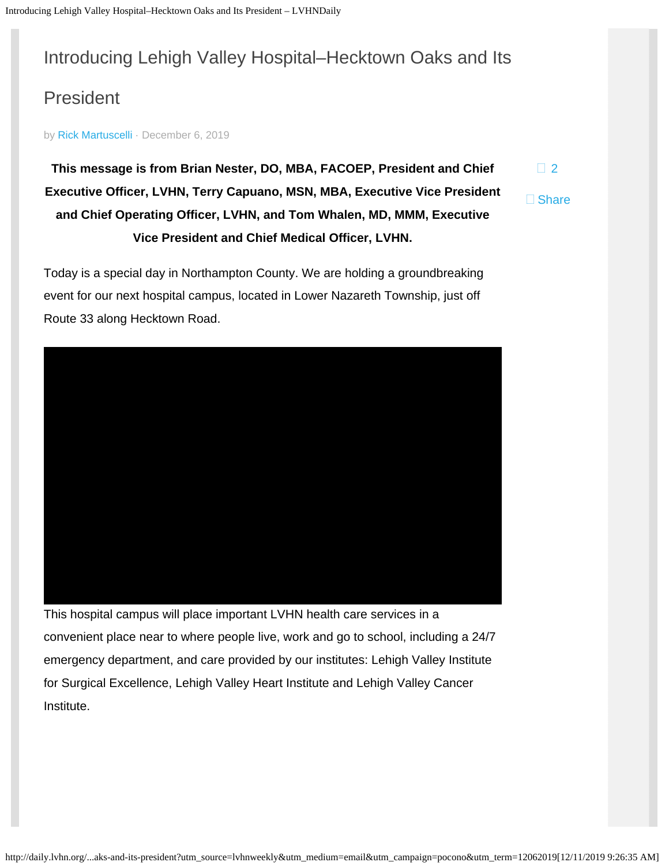# <span id="page-2-0"></span>Introducing Lehigh Valley Hospital–Hecktown Oaks and Its

# President

by [Rick Martuscelli](http://daily.lvhn.org/author/rmartuscelli) · December 6, 2019

**This message is from Brian Nester, DO, MBA, FACOEP, President and Chief Executive Officer, LVHN, Terry Capuano, MSN, MBA, Executive Vice President and Chief Operating Officer, LVHN, and Tom Whalen, MD, MMM, Executive Vice President and Chief Medical Officer, LVHN.**

 $\Box$  [2](#page-2-0)

□ Share

Today is a special day in Northampton County. We are holding a groundbreaking event for our next hospital campus, located in Lower Nazareth Township, just off Route 33 along Hecktown Road.

This hospital campus will place important LVHN health care services in a

convenient place near to where people live, work and go to school, including a 24/7 emergency department, and care provided by our institutes: Lehigh Valley Institute for Surgical Excellence, Lehigh Valley Heart Institute and Lehigh Valley Cancer Institute.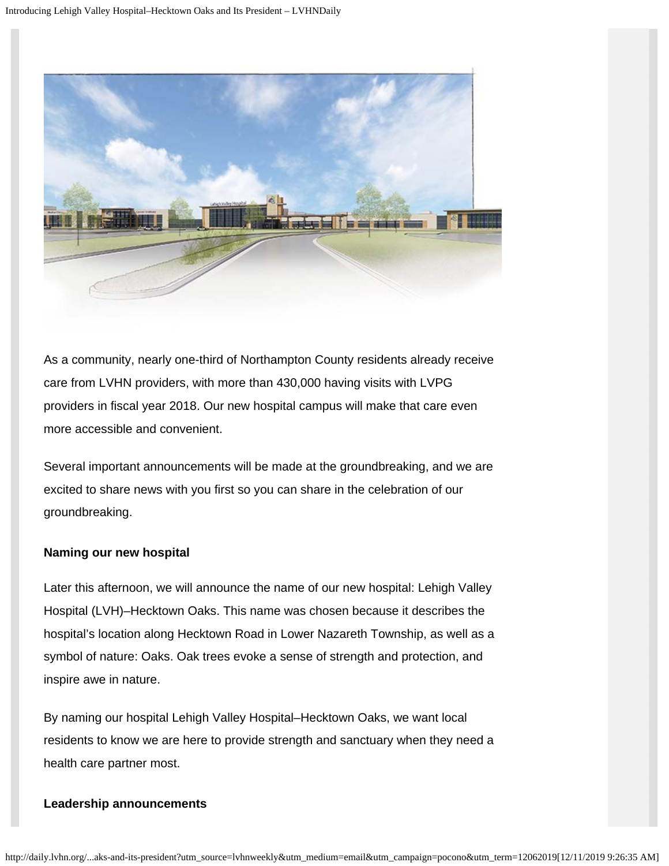

As a community, nearly one-third of Northampton County residents already receive care from LVHN providers, with more than 430,000 having visits with LVPG providers in fiscal year 2018. Our new hospital campus will make that care even more accessible and convenient.

Several important announcements will be made at the groundbreaking, and we are excited to share news with you first so you can share in the celebration of our groundbreaking.

#### **Naming our new hospital**

Later this afternoon, we will announce the name of our new hospital: Lehigh Valley Hospital (LVH)–Hecktown Oaks. This name was chosen because it describes the hospital's location along Hecktown Road in Lower Nazareth Township, as well as a symbol of nature: Oaks. Oak trees evoke a sense of strength and protection, and inspire awe in nature.

By naming our hospital Lehigh Valley Hospital–Hecktown Oaks, we want local residents to know we are here to provide strength and sanctuary when they need a health care partner most.

#### **Leadership announcements**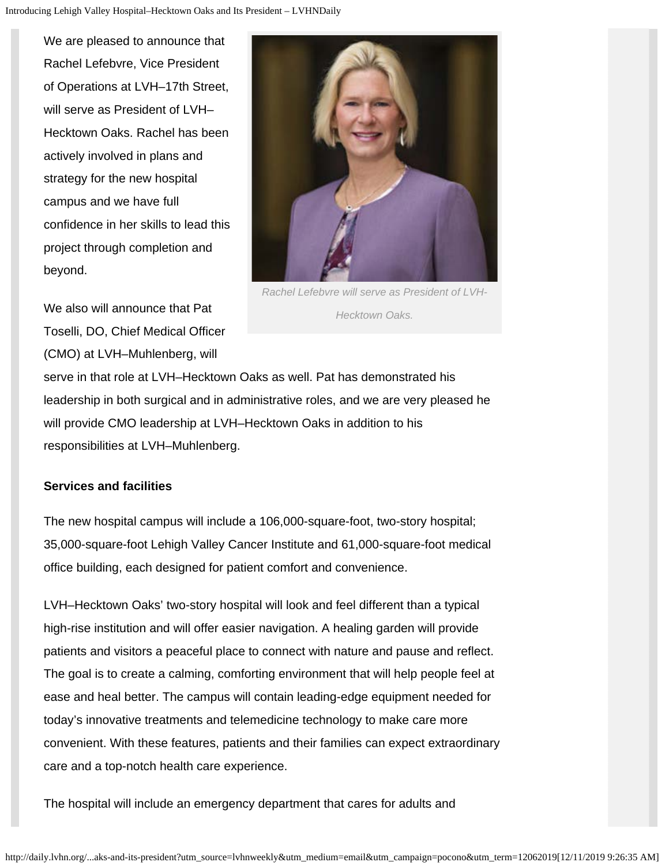We are pleased to announce that Rachel Lefebvre, Vice President of Operations at LVH–17th Street, will serve as President of LVH– Hecktown Oaks. Rachel has been actively involved in plans and strategy for the new hospital campus and we have full confidence in her skills to lead this project through completion and beyond.

We also will announce that Pat Toselli, DO, Chief Medical Officer (CMO) at LVH–Muhlenberg, will



*Rachel Lefebvre will serve as President of LVH-Hecktown Oaks.*

serve in that role at LVH–Hecktown Oaks as well. Pat has demonstrated his leadership in both surgical and in administrative roles, and we are very pleased he will provide CMO leadership at LVH–Hecktown Oaks in addition to his responsibilities at LVH–Muhlenberg.

#### **Services and facilities**

The new hospital campus will include a 106,000-square-foot, two-story hospital; 35,000-square-foot Lehigh Valley Cancer Institute and 61,000-square-foot medical office building, each designed for patient comfort and convenience.

LVH–Hecktown Oaks' two-story hospital will look and feel different than a typical high-rise institution and will offer easier navigation. A healing garden will provide patients and visitors a peaceful place to connect with nature and pause and reflect. The goal is to create a calming, comforting environment that will help people feel at ease and heal better. The campus will contain leading-edge equipment needed for today's innovative treatments and telemedicine technology to make care more convenient. With these features, patients and their families can expect extraordinary care and a top-notch health care experience.

The hospital will include an emergency department that cares for adults and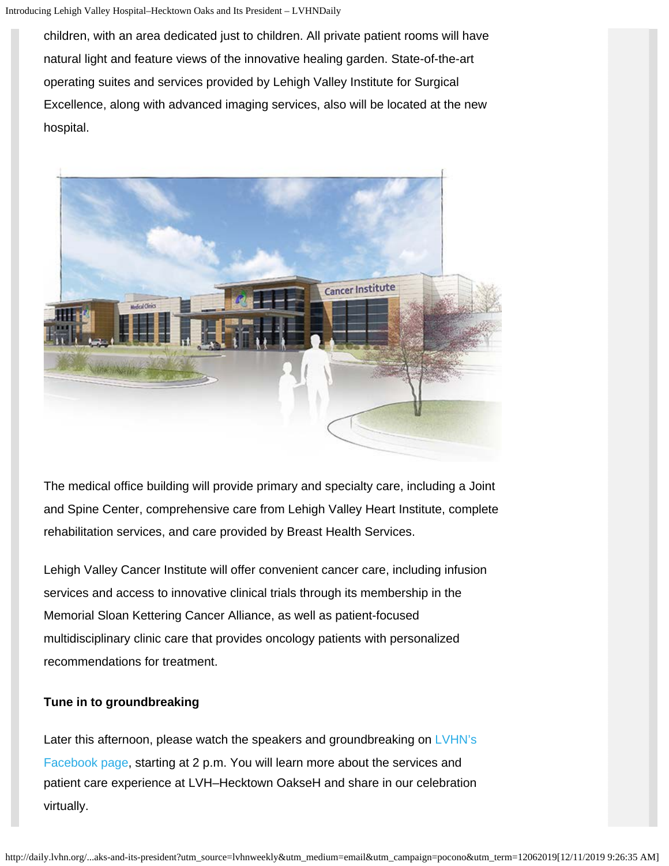children, with an area dedicated just to children. All private patient rooms will have natural light and feature views of the innovative healing garden. State-of-the-art operating suites and services provided by Lehigh Valley Institute for Surgical Excellence, along with advanced imaging services, also will be located at the new hospital.



The medical office building will provide primary and specialty care, including a Joint and Spine Center, comprehensive care from Lehigh Valley Heart Institute, complete rehabilitation services, and care provided by Breast Health Services.

Lehigh Valley Cancer Institute will offer convenient cancer care, including infusion services and access to innovative clinical trials through its membership in the Memorial Sloan Kettering Cancer Alliance, as well as patient-focused multidisciplinary clinic care that provides oncology patients with personalized recommendations for treatment.

#### **Tune in to groundbreaking**

Later this afternoon, please watch the speakers and groundbreaking on [LVHN's](https://www.facebook.com/lvhealthnetwork) [Facebook page](https://www.facebook.com/lvhealthnetwork), starting at 2 p.m. You will learn more about the services and patient care experience at LVH–Hecktown OakseH and share in our celebration virtually.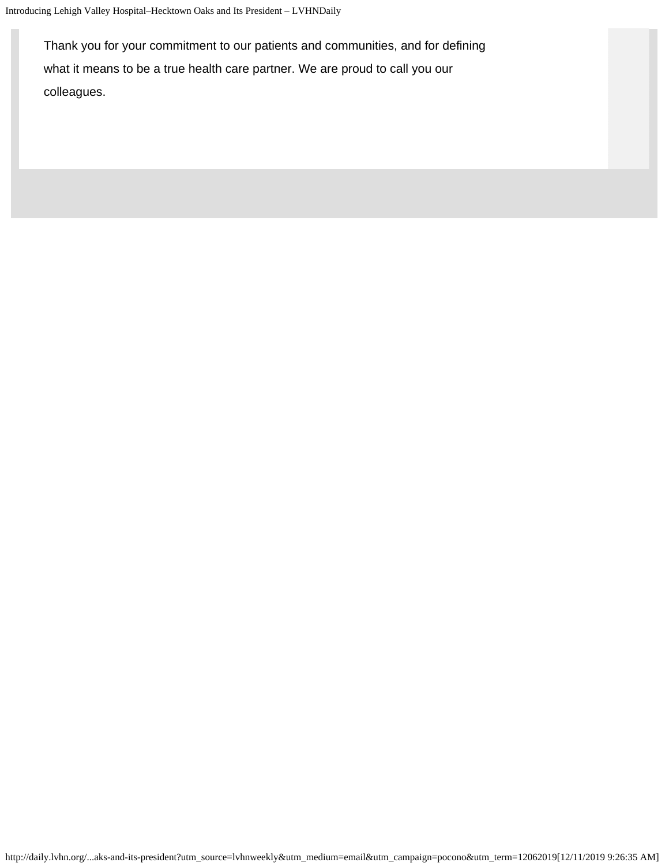Thank you for your commitment to our patients and communities, and for defining what it means to be a true health care partner. We are proud to call you our colleagues.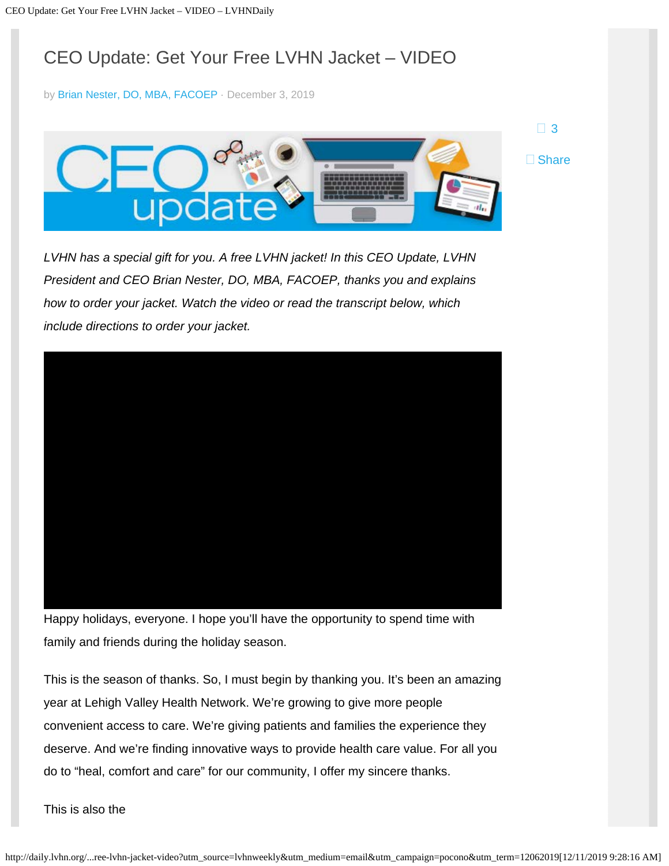# <span id="page-7-0"></span>CEO Update: Get Your Free LVHN Jacket – VIDEO

by [Brian Nester, DO, MBA, FACOEP](http://daily.lvhn.org/author/brian-nester) · December 3, 2019



 $\Box$  [3](#page-7-0)

*LVHN has a special gift for you. A free LVHN jacket! In this CEO Update, LVHN President and CEO Brian Nester, DO, MBA, FACOEP, thanks you and explains how to order your jacket. Watch the video or read the transcript below, which include directions to order your jacket.* 

Happy holidays, everyone. I hope you'll have the opportunity to spend time with family and friends during the holiday season.

This is the season of thanks. So, I must begin by thanking you. It's been an amazing year at Lehigh Valley Health Network. We're growing to give more people convenient access to care. We're giving patients and families the experience they deserve. And we're finding innovative ways to provide health care value. For all you do to "heal, comfort and care" for our community, I offer my sincere thanks.

This is also the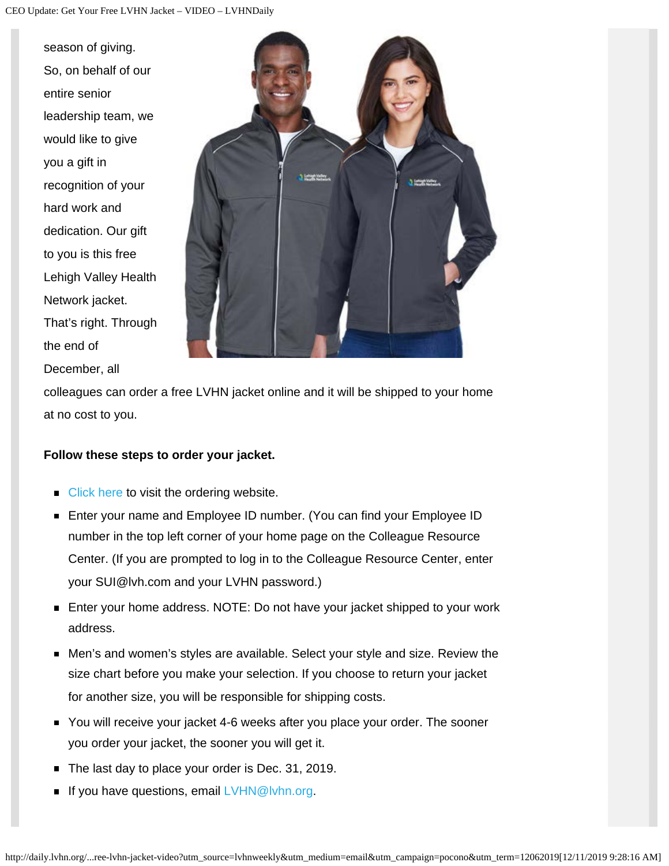season of giving. So, on behalf of our entire senior leadership team, we would like to give you a gift in recognition of your hard work and dedication. Our gift to you is this free Lehigh Valley Health Network jacket. That's right. Through the end of December, all



colleagues can order a free LVHN jacket online and it will be shipped to your home at no cost to you.

#### **Follow these steps to order your jacket.**

- $\blacksquare$  [Click here](https://store9945106.dkodermarketing.com/) to visit the ordering website.
- Enter your name and Employee ID number. (You can find your Employee ID number in the top left corner of your home page on the Colleague Resource Center. (If you are prompted to log in to the Colleague Resource Center, enter your SUI@lvh.com and your LVHN password.)
- Enter your home address. NOTE: Do not have your jacket shipped to your work address.
- Men's and women's styles are available. Select your style and size. Review the size chart before you make your selection. If you choose to return your jacket for another size, you will be responsible for shipping costs.
- You will receive your jacket 4-6 weeks after you place your order. The sooner you order your jacket, the sooner you will get it.
- The last day to place your order is Dec. 31, 2019.
- If you have questions, email  $LVHN@lvhn.org$ .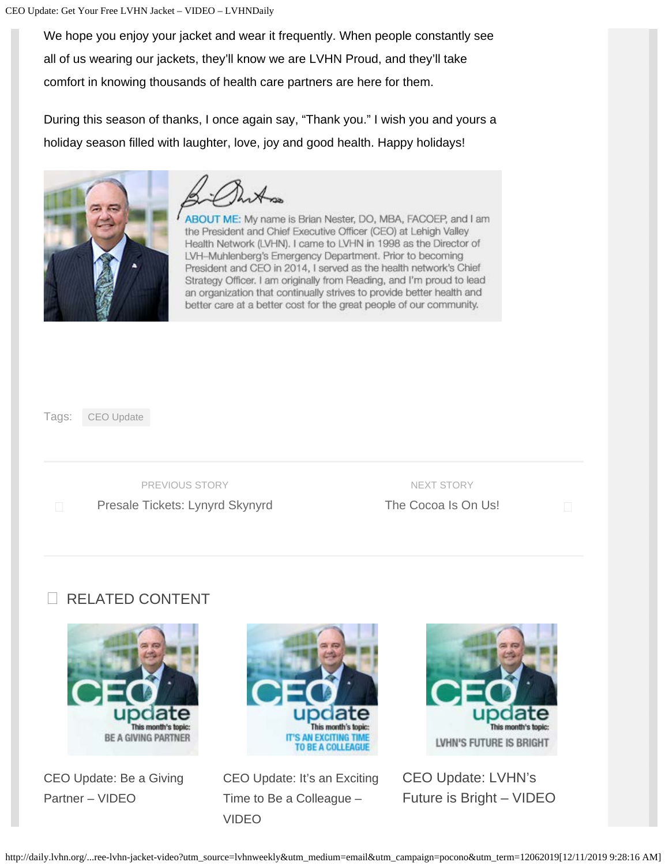We hope you enjoy your jacket and wear it frequently. When people constantly see all of us wearing our jackets, they'll know we are LVHN Proud, and they'll take comfort in knowing thousands of health care partners are here for them.

During this season of thanks, I once again say, "Thank you." I wish you and yours a holiday season filled with laughter, love, joy and good health. Happy holidays!



ABOUT ME: My name is Brian Nester, DO, MBA, FACOEP, and I am the President and Chief Executive Officer (CEO) at Lehigh Valley Health Network (LVHN). I came to LVHN in 1998 as the Director of LVH-Muhlenberg's Emergency Department. Prior to becoming President and CEO in 2014, I served as the health network's Chief Strategy Officer. I am originally from Reading, and I'm proud to lead an organization that continually strives to provide better health and better care at a better cost for the great people of our community.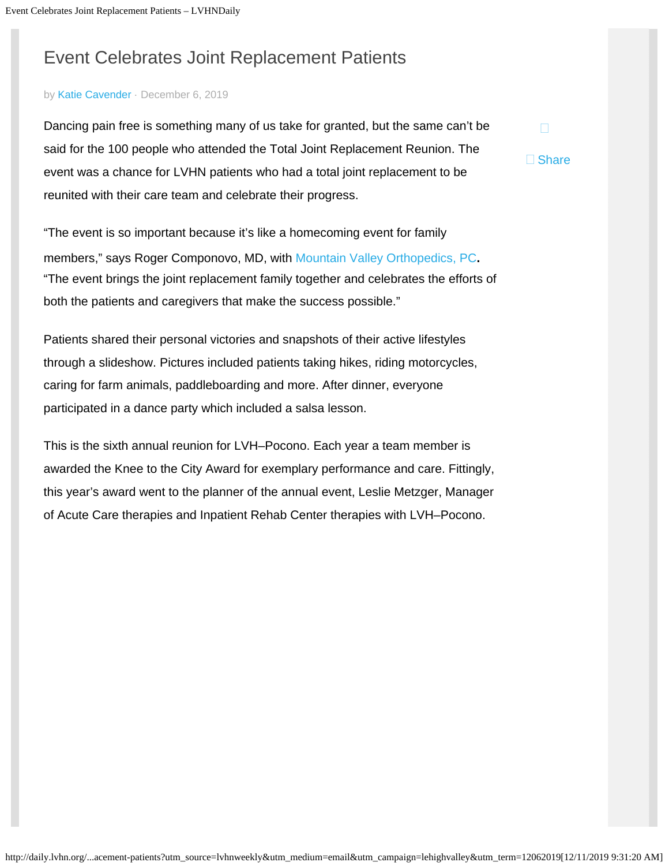# <span id="page-10-0"></span>Event Celebrates Joint Replacement Patients

#### by [Katie Cavender](http://daily.lvhn.org/author/katie-cavender) · December 6, 2019

Dancing pain free is something many of us take for granted, but the same can't be said for the 100 people who attended the Total Joint Replacement Reunion. The event was a chance for LVHN patients who had a total joint replacement to be reunited with their care team and celebrate their progress.

□ Share

"The event is so important because it's like a homecoming event for family members," says Roger Componovo, MD, with [Mountain Valley Orthopedics, PC](https://www.lvhn.org/locations/mountain-valley-orthopedics-pc-east-stroudsburg)**.** "The event brings the joint replacement family together and celebrates the efforts of both the patients and caregivers that make the success possible."

Patients shared their personal victories and snapshots of their active lifestyles through a slideshow. Pictures included patients taking hikes, riding motorcycles, caring for farm animals, paddleboarding and more. After dinner, everyone participated in a dance party which included a salsa lesson.

This is the sixth annual reunion for LVH–Pocono. Each year a team member is awarded the Knee to the City Award for exemplary performance and care. Fittingly, this year's award went to the planner of the annual event, Leslie Metzger, Manager of Acute Care therapies and Inpatient Rehab Center therapies with LVH–Pocono.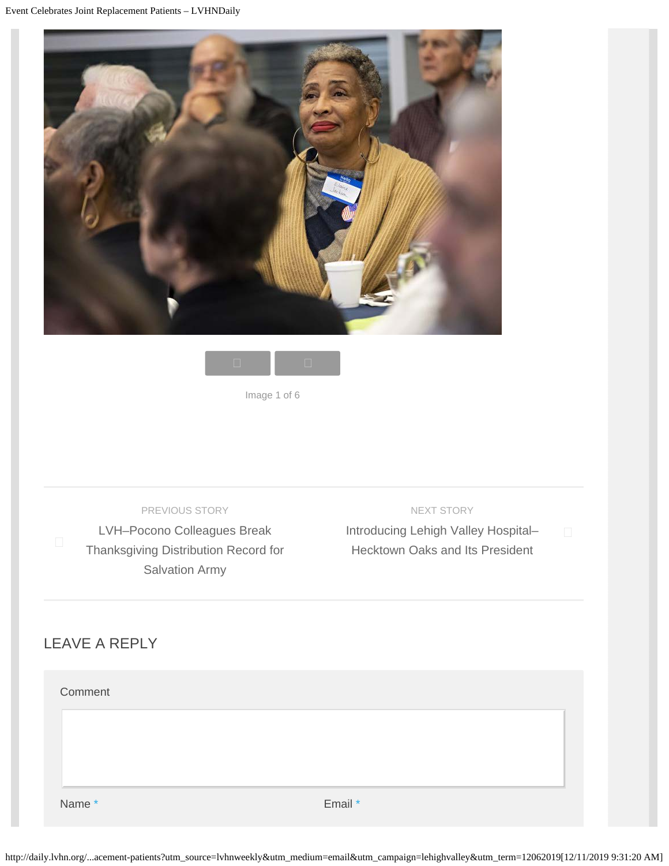



Image 1 of 6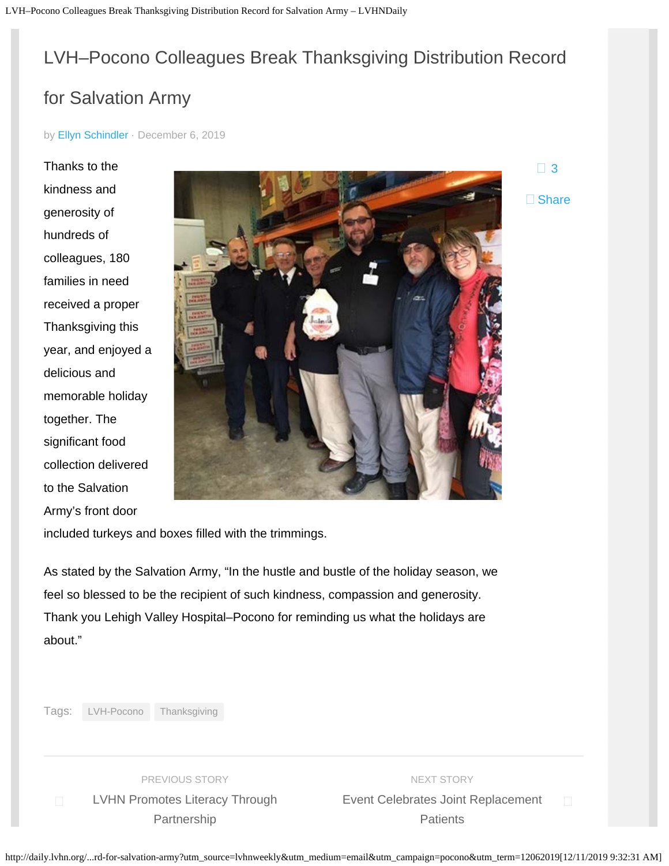# <span id="page-12-0"></span>LVH–Pocono Colleagues Break Thanksgiving Distribution Record

## for Salvation Army

by [Ellyn Schindler](http://daily.lvhn.org/author/ellyn-schindler) · December 6, 2019

Thanks to the kindness and generosity of hundreds of colleagues, 180 families in need received a proper Thanksgiving this year, and enjoyed a delicious and memorable holiday together. The significant food collection delivered to the Salvation Army's front door



 $\Box$  [3](#page-12-0) □ Share

included turkeys and boxes filled with the trimmings.

As stated by the Salvation Army, "In the hustle and bustle of the holiday season, we feel so blessed to be the recipient of such kindness, compassion and generosity. Thank you Lehigh Valley Hospital–Pocono for reminding us what the holidays are about."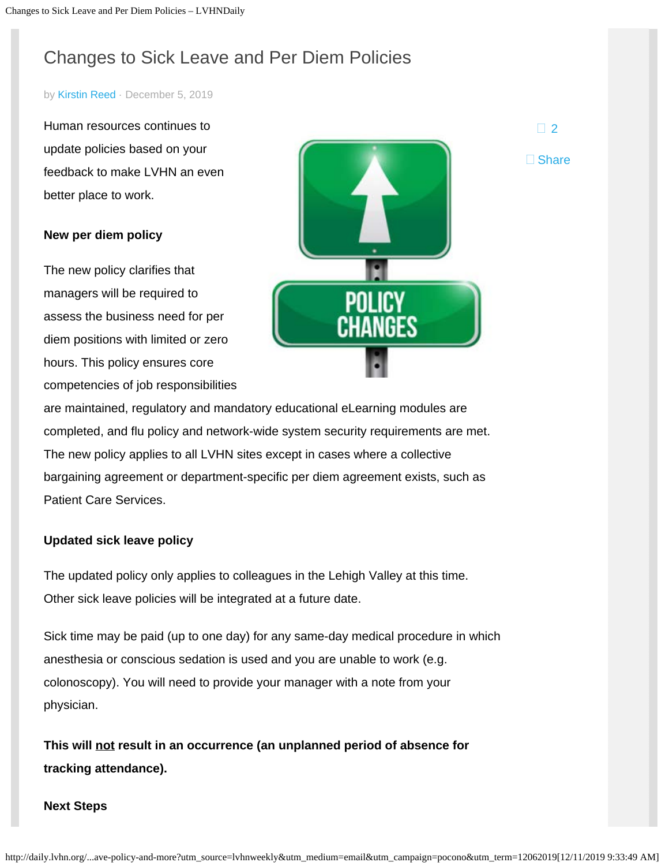# <span id="page-13-0"></span>Changes to Sick Leave and Per Diem Policies

#### by [Kirstin Reed](http://daily.lvhn.org/author/kirstin-reed) · December 5, 2019

Human resources continues to update policies based on your feedback to make LVHN an even better place to work.

#### **New per diem policy**

The new policy clarifies that managers will be required to assess the business need for per diem positions with limited or zero hours. This policy ensures core competencies of job responsibilities



are maintained, regulatory and mandatory educational eLearning modules are completed, and flu policy and network-wide system security requirements are met. The new policy applies to all LVHN sites except in cases where a collective bargaining agreement or department-specific per diem agreement exists, such as Patient Care Services.

#### **Updated sick leave policy**

The updated policy only applies to colleagues in the Lehigh Valley at this time. Other sick leave policies will be integrated at a future date.

Sick time may be paid (up to one day) for any same-day medical procedure in which anesthesia or conscious sedation is used and you are unable to work (e.g. colonoscopy). You will need to provide your manager with a note from your physician.

**This will not result in an occurrence (an unplanned period of absence for tracking attendance).**

#### **Next Steps**

 $\Box$  [2](#page-13-0)

□ Share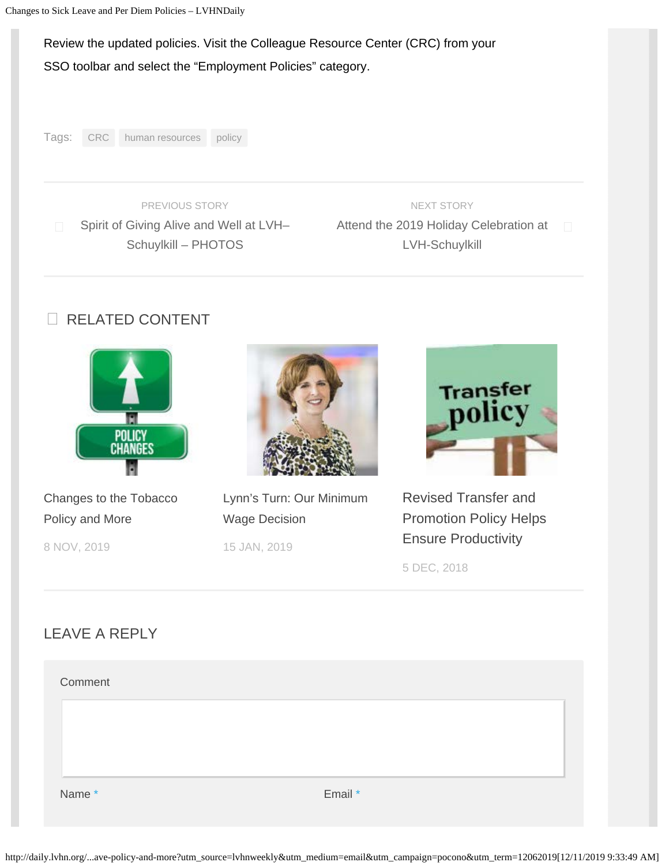#### Review the updated policies. Visit the Colleague Resource Center (CRC) from your

#### SSO toolbar and select the "Employment Policies" category.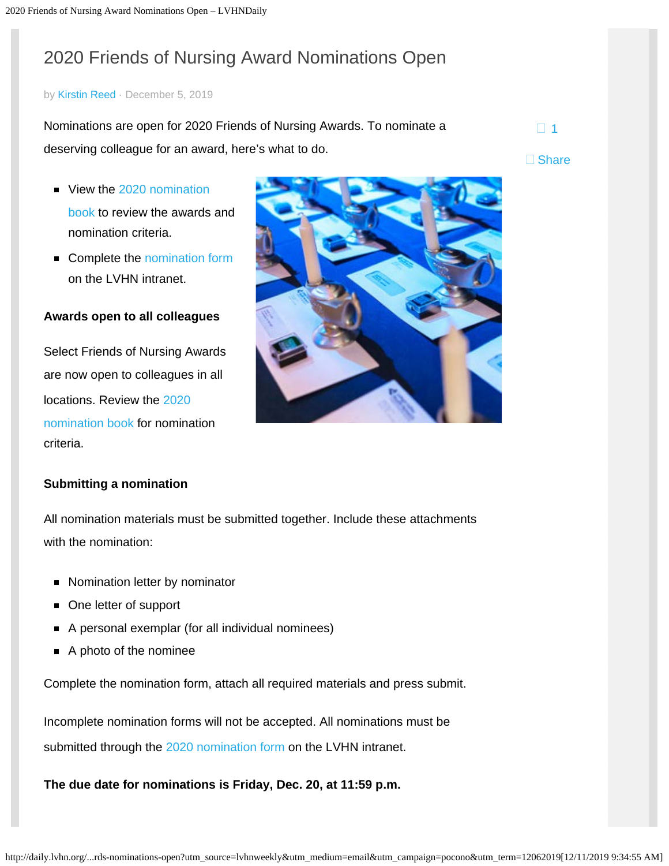# <span id="page-15-0"></span>2020 Friends of Nursing Award Nominations Open

#### by [Kirstin Reed](http://daily.lvhn.org/author/kirstin-reed) · December 5, 2019

Nominations are open for 2020 Friends of Nursing Awards. To nominate a deserving colleague for an award, here's what to do.  $\Box$  [1](#page-15-0)

- View the [2020 nomination](http://webappprd001.lvh.com/pdf/fonBooklet2020.pdf) [book](http://webappprd001.lvh.com/pdf/fonBooklet2020.pdf) to review the awards and nomination criteria.
- Complete the [nomination form](http://webappprd001.lvh.com/webpublic2/fonNew1/) on the LVHN intranet.

#### **Awards open to all colleagues**

Select Friends of Nursing Awards are now open to colleagues in all locations. Review the [2020](http://webappprd001.lvh.com/pdf/fonBooklet2020.pdf) [nomination book](http://webappprd001.lvh.com/pdf/fonBooklet2020.pdf) for nomination criteria.

#### **Submitting a nomination**

All nomination materials must be submitted together. Include these attachments with the nomination:

- Nomination letter by nominator
- One letter of support
- A personal exemplar (for all individual nominees)
- A photo of the nominee

Complete the nomination form, attach all required materials and press submit.

Incomplete nomination forms will not be accepted. All nominations must be submitted through the [2020 nomination form](http://webappprd001.lvh.com/webpublic2/fonNew1/) on the LVHN intranet.

**The due date for nominations is Friday, Dec. 20, at 11:59 p.m.**



□ Share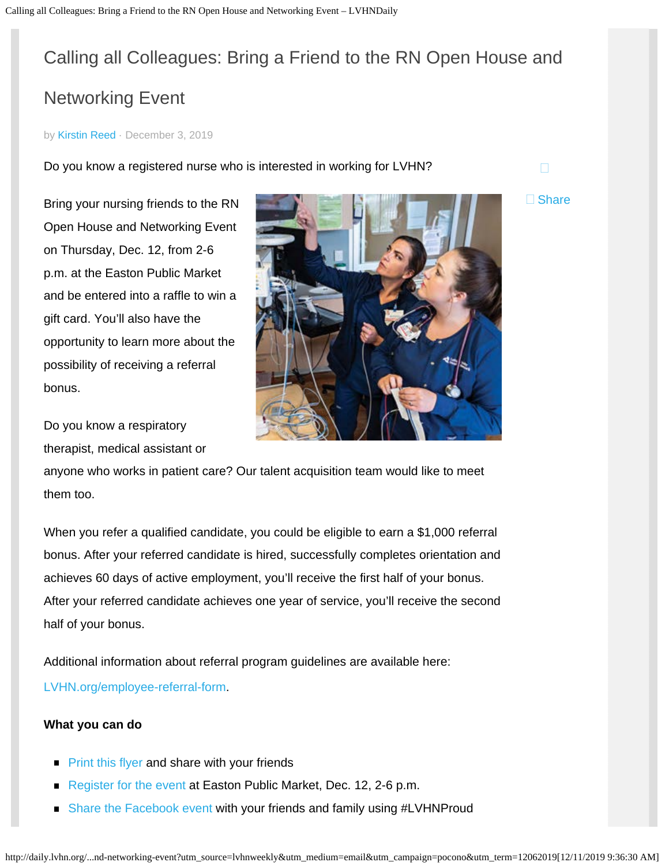# <span id="page-16-0"></span>Calling all Colleagues: Bring a Friend to the RN Open House and Networking Event

#### by [Kirstin Reed](http://daily.lvhn.org/author/kirstin-reed) · December 3, 2019

Do you know a registered nurse who is interested in working for LVHN?

Bring your nursing friends to the RN Open House and Networking Event on Thursday, Dec. 12, from 2-6 p.m. at the Easton Public Market and be entered into a raffle to win a gift card. You'll also have the opportunity to learn more about the possibility of receiving a referral bonus.

Do you know a respiratory therapist, medical assistant or

anyone who works in patient care? Our talent acquisition team would like to meet them too.

When you refer a qualified candidate, you could be eligible to earn a \$1,000 referral bonus. After your referred candidate is hired, successfully completes orientation and achieves 60 days of active employment, you'll receive the first half of your bonus. After your referred candidate achieves one year of service, you'll receive the second half of your bonus.

Additional information about referral program guidelines are available here: [LVHN.org/employee-referral-form.](https://www.lvhn.org/employee-referral-form)

#### **What you can do**

- $\blacksquare$  [Print this flyer](http://daily.lvhn.org/wp-content/uploads/2019/11/RN-Open-House_Networking-Event_Final.pdf) and share with your friends
- [Register for the event](https://go.activecalendar.com/lehighvalleyhealthnetwork/event/rn-open-house-and-networking-event/) at Easton Public Market, Dec. 12, 2-6 p.m.
- [Share the Facebook event](https://www.facebook.com/events/1161600917374058/?acontext=%7B%22ref%22%3A%223%22%2C%22ref_newsfeed_story_type%22%3A%22regular%22%2C%22action_history%22%3A%22%5B%7B%5C%22surface%5C%22%3A%5C%22newsfeed%5C%22%2C%5C%22mechanism%5C%22%3A%5C%22feed_story%5C%22%2C%5C%22extra_data%5C%22%3A%5B%5D%7D%5D%22%7D&__xts__%5B0%5D=68.ARC_0BNtN3BinBydlAODC_41tTr0Q4rSnJlx4Rscp4rfqEuWeSyj8n2a1Wf4fraCeTFhwkv3NBfWrbS8-2VV_i08bmGigwI5mDzD0KQ2mC7jppu71UyyviPM7tGMcyptZBbbbxbTkh7dBx_QLD1W7qGelnJUstE2WvwLsYKuG0swGr-a5SCYSaFz3CdIusA_JQJsrIP5z8SebmrtjPt3S6MieQSg_E7vDfpoWF6AW1RreXWfVzq0xIv1HNkuv9uPN1wdHvxIGBWqMWDrlkI&__tn__=HH-R) with your friends and family using #LVHNProud



 $\Box$ 

□ Share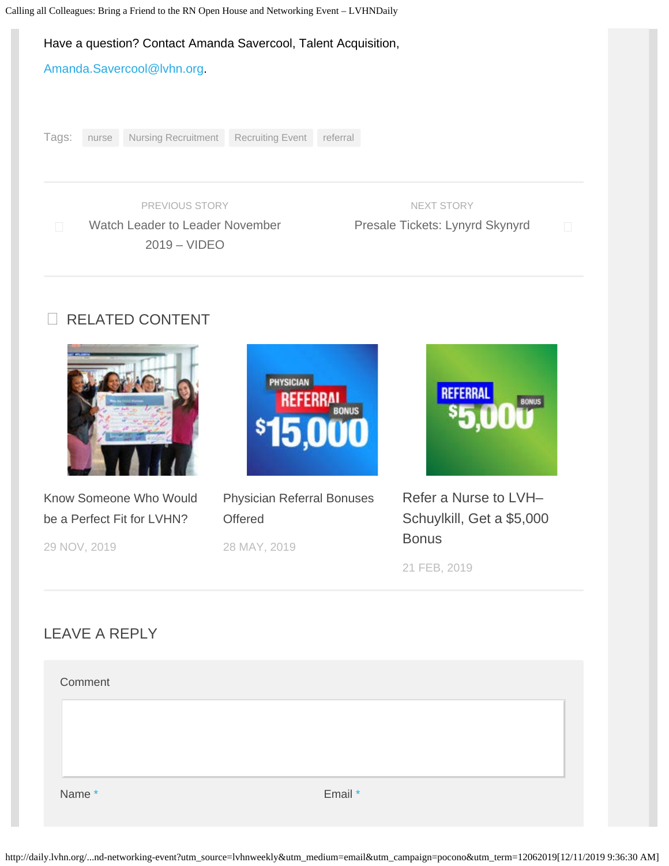#### Have a question? Contact Amanda Savercool, Talent Acquisition,

[Amanda.Savercool@lvhn.org](mailto:Amanda.Savercool@lvhn.org).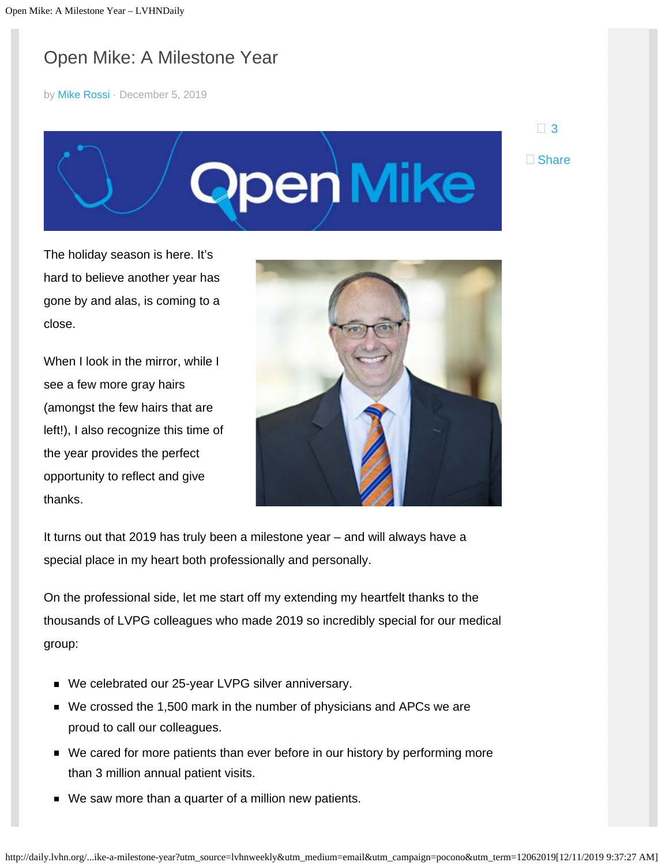# <span id="page-18-0"></span>Open Mike: A Milestone Year

by [Mike Rossi](http://daily.lvhn.org/author/mike-rossi-md) · December 5, 2019

□ [3](#page-18-0) □ Share



The holiday season is here. It's hard to believe another year has gone by and alas, is coming to a close.

When I look in the mirror, while I see a few more gray hairs (amongst the few hairs that are left!), I also recognize this time of the year provides the perfect opportunity to reflect and give thanks.



It turns out that 2019 has truly been a milestone year – and will always have a special place in my heart both professionally and personally.

On the professional side, let me start off my extending my heartfelt thanks to the thousands of LVPG colleagues who made 2019 so incredibly special for our medical group:

- We celebrated our 25-year LVPG silver anniversary.
- We crossed the 1,500 mark in the number of physicians and APCs we are proud to call our colleagues.
- We cared for more patients than ever before in our history by performing more than 3 million annual patient visits.
- We saw more than a quarter of a million new patients.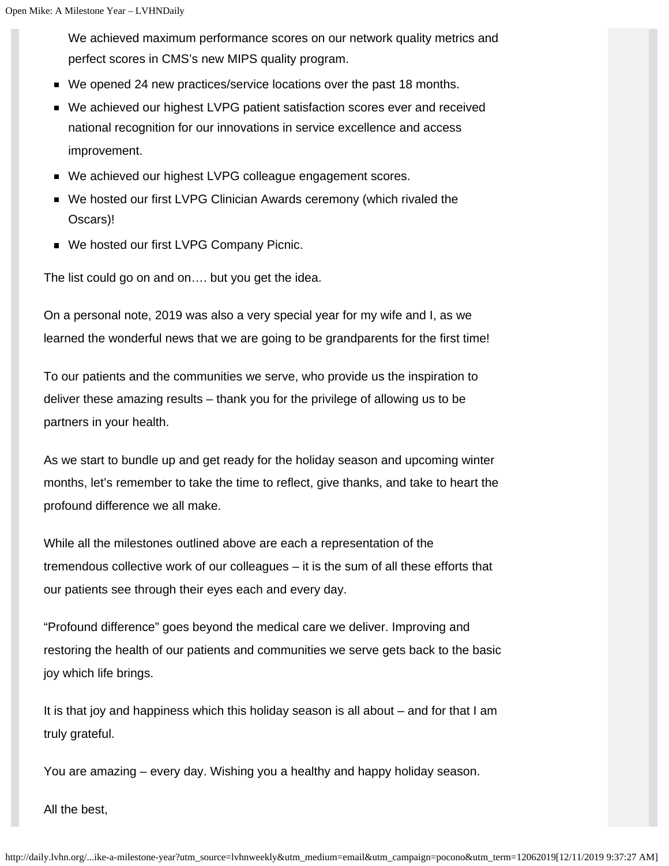We achieved maximum performance scores on our network quality metrics and perfect scores in CMS's new MIPS quality program.

- We opened 24 new practices/service locations over the past 18 months.
- We achieved our highest LVPG patient satisfaction scores ever and received national recognition for our innovations in service excellence and access improvement.
- We achieved our highest LVPG colleague engagement scores.
- We hosted our first LVPG Clinician Awards ceremony (which rivaled the Oscars)!
- We hosted our first LVPG Company Picnic.

The list could go on and on…. but you get the idea.

On a personal note, 2019 was also a very special year for my wife and I, as we learned the wonderful news that we are going to be grandparents for the first time!

To our patients and the communities we serve, who provide us the inspiration to deliver these amazing results – thank you for the privilege of allowing us to be partners in your health.

As we start to bundle up and get ready for the holiday season and upcoming winter months, let's remember to take the time to reflect, give thanks, and take to heart the profound difference we all make.

While all the milestones outlined above are each a representation of the tremendous collective work of our colleagues – it is the sum of all these efforts that our patients see through their eyes each and every day.

"Profound difference" goes beyond the medical care we deliver. Improving and restoring the health of our patients and communities we serve gets back to the basic joy which life brings.

It is that joy and happiness which this holiday season is all about – and for that I am truly grateful.

You are amazing – every day. Wishing you a healthy and happy holiday season.

All the best,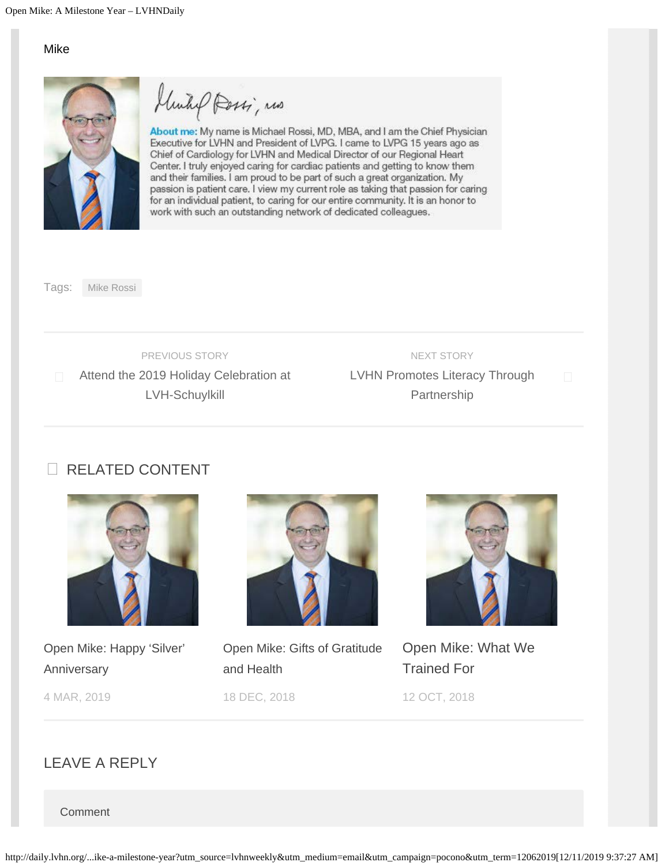Mike



Rossi, mas

About me: My name is Michael Rossi, MD, MBA, and I am the Chief Physician Executive for LVHN and President of LVPG. I came to LVPG 15 years ago as Chief of Cardiology for LVHN and Medical Director of our Regional Heart Center. I truly enjoyed caring for cardiac patients and getting to know them and their families. I am proud to be part of such a great organization. My passion is patient care. I view my current role as taking that passion for caring for an individual patient, to caring for our entire community. It is an honor to work with such an outstanding network of dedicated colleagues.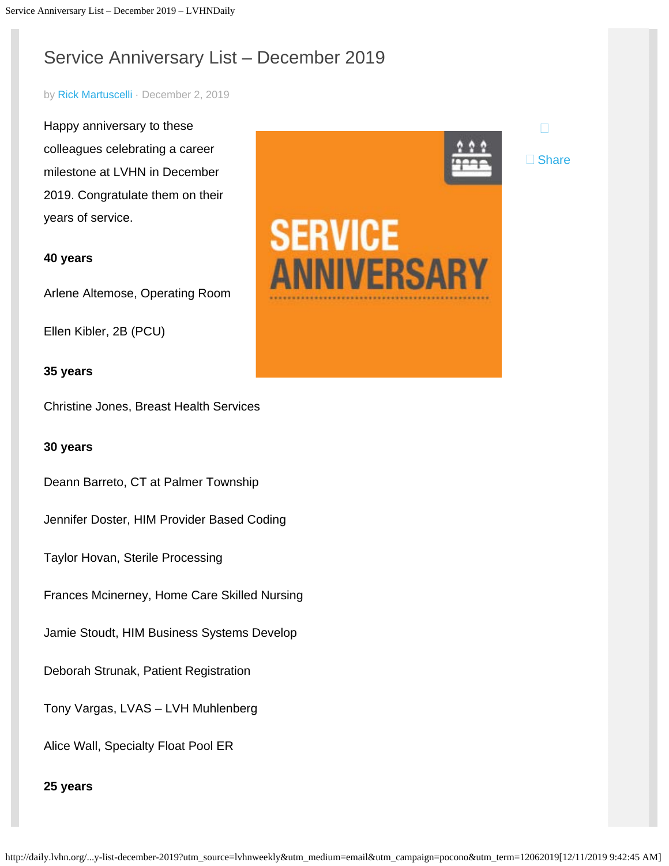# <span id="page-21-0"></span>Service Anniversary List – December 2019

#### by [Rick Martuscelli](http://daily.lvhn.org/author/rmartuscelli) · December 2, 2019

Happy anniversary to these colleagues celebrating a career milestone at LVHN in December 2019. Congratulate them on their years of service.

#### **40 years**

Arlene Altemose, Operating Room

Ellen Kibler, 2B (PCU)

#### **35 years**

Christine Jones, Breast Health Services

#### **30 years**

Deann Barreto, CT at Palmer Township

Jennifer Doster, HIM Provider Based Coding

Taylor Hovan, Sterile Processing

Frances Mcinerney, Home Care Skilled Nursing

Jamie Stoudt, HIM Business Systems Develop

Deborah Strunak, Patient Registration

Tony Vargas, LVAS – LVH Muhlenberg

Alice Wall, Specialty Float Pool ER



□ Share

# **SERVICE ANNIVERSARY**

#### **25 years**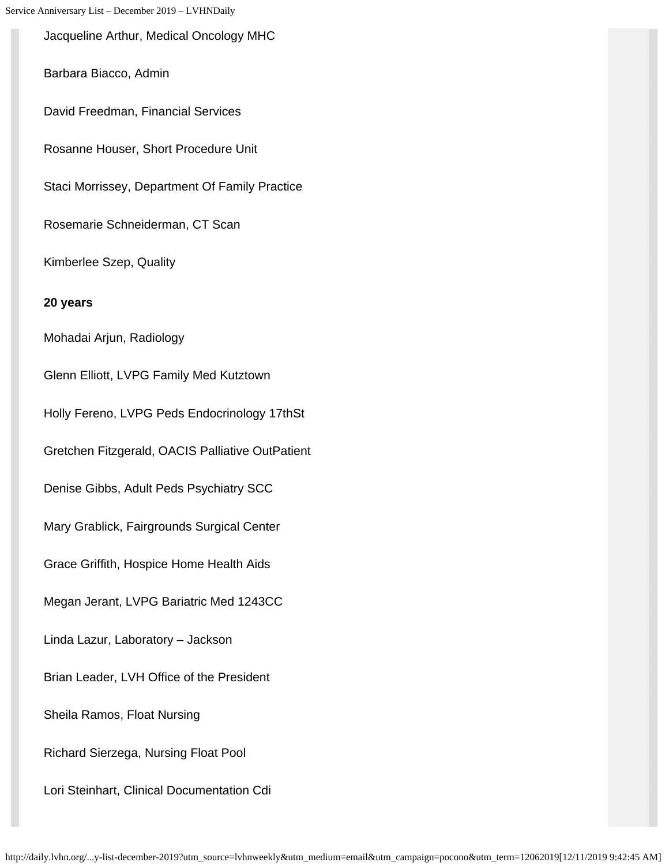Jacqueline Arthur, Medical Oncology MHC

Barbara Biacco, Admin

David Freedman, Financial Services

Rosanne Houser, Short Procedure Unit

Staci Morrissey, Department Of Family Practice

Rosemarie Schneiderman, CT Scan

Kimberlee Szep, Quality

**20 years**

Mohadai Arjun, Radiology

Glenn Elliott, LVPG Family Med Kutztown Holly Fereno, LVPG Peds Endocrinology 17thSt

Gretchen Fitzgerald, OACIS Palliative OutPatient

Denise Gibbs, Adult Peds Psychiatry SCC

Mary Grablick, Fairgrounds Surgical Center

Grace Griffith, Hospice Home Health Aids

Megan Jerant, LVPG Bariatric Med 1243CC

Linda Lazur, Laboratory – Jackson

Brian Leader, LVH Office of the President

Sheila Ramos, Float Nursing

Richard Sierzega, Nursing Float Pool

Lori Steinhart, Clinical Documentation Cdi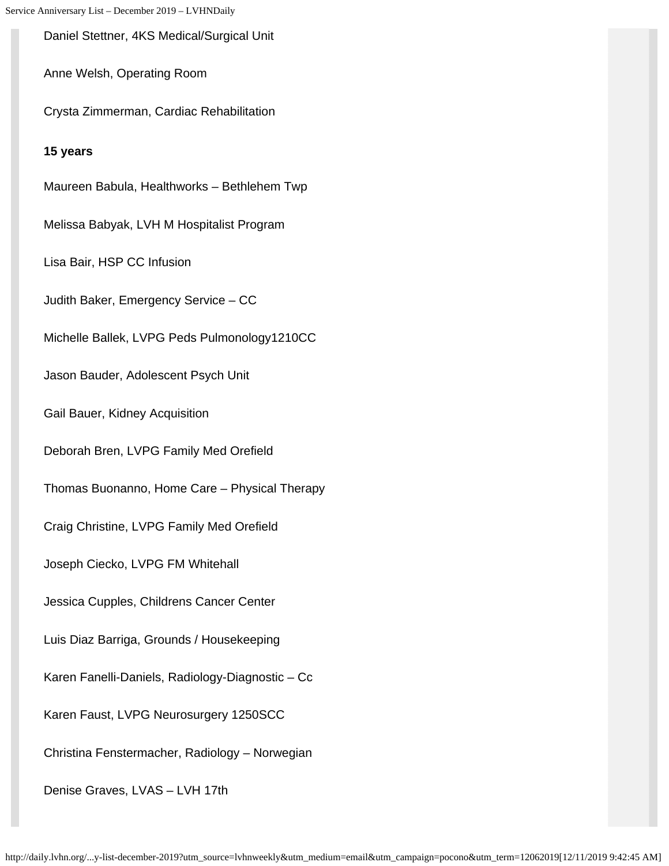Daniel Stettner, 4KS Medical/Surgical Unit

Anne Welsh, Operating Room

Crysta Zimmerman, Cardiac Rehabilitation

#### **15 years**

Maureen Babula, Healthworks – Bethlehem Twp

Melissa Babyak, LVH M Hospitalist Program

Lisa Bair, HSP CC Infusion

Judith Baker, Emergency Service – CC

Michelle Ballek, LVPG Peds Pulmonology1210CC

Jason Bauder, Adolescent Psych Unit

Gail Bauer, Kidney Acquisition

Deborah Bren, LVPG Family Med Orefield

Thomas Buonanno, Home Care – Physical Therapy

Craig Christine, LVPG Family Med Orefield

Joseph Ciecko, LVPG FM Whitehall

Jessica Cupples, Childrens Cancer Center

Luis Diaz Barriga, Grounds / Housekeeping

Karen Fanelli-Daniels, Radiology-Diagnostic – Cc

Karen Faust, LVPG Neurosurgery 1250SCC

Christina Fenstermacher, Radiology – Norwegian

Denise Graves, LVAS – LVH 17th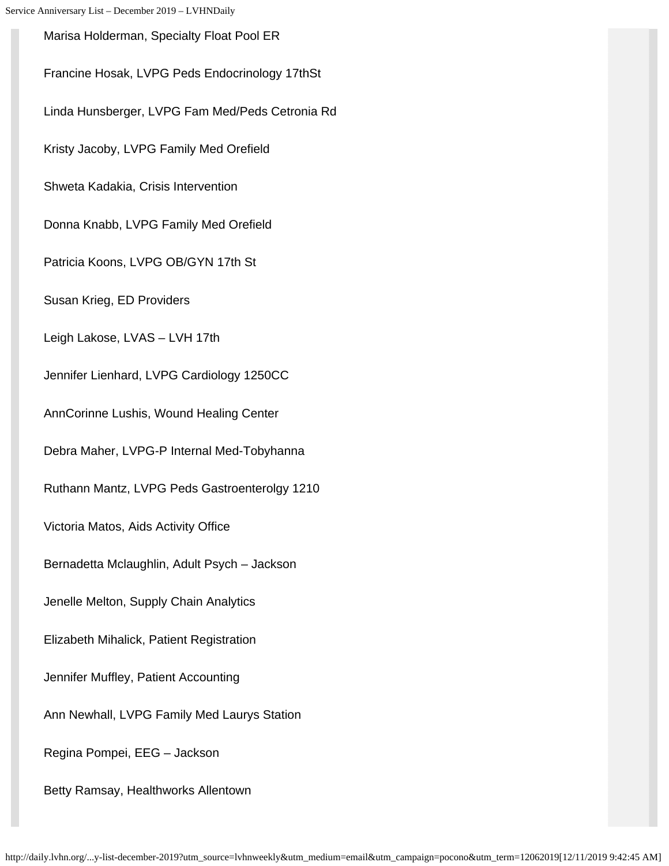Marisa Holderman, Specialty Float Pool ER Francine Hosak, LVPG Peds Endocrinology 17thSt Linda Hunsberger, LVPG Fam Med/Peds Cetronia Rd Kristy Jacoby, LVPG Family Med Orefield Shweta Kadakia, Crisis Intervention Donna Knabb, LVPG Family Med Orefield Patricia Koons, LVPG OB/GYN 17th St Susan Krieg, ED Providers Leigh Lakose, LVAS – LVH 17th Jennifer Lienhard, LVPG Cardiology 1250CC AnnCorinne Lushis, Wound Healing Center Debra Maher, LVPG-P Internal Med-Tobyhanna Ruthann Mantz, LVPG Peds Gastroenterolgy 1210 Victoria Matos, Aids Activity Office Bernadetta Mclaughlin, Adult Psych – Jackson Jenelle Melton, Supply Chain Analytics Elizabeth Mihalick, Patient Registration Jennifer Muffley, Patient Accounting Ann Newhall, LVPG Family Med Laurys Station Regina Pompei, EEG – Jackson Betty Ramsay, Healthworks Allentown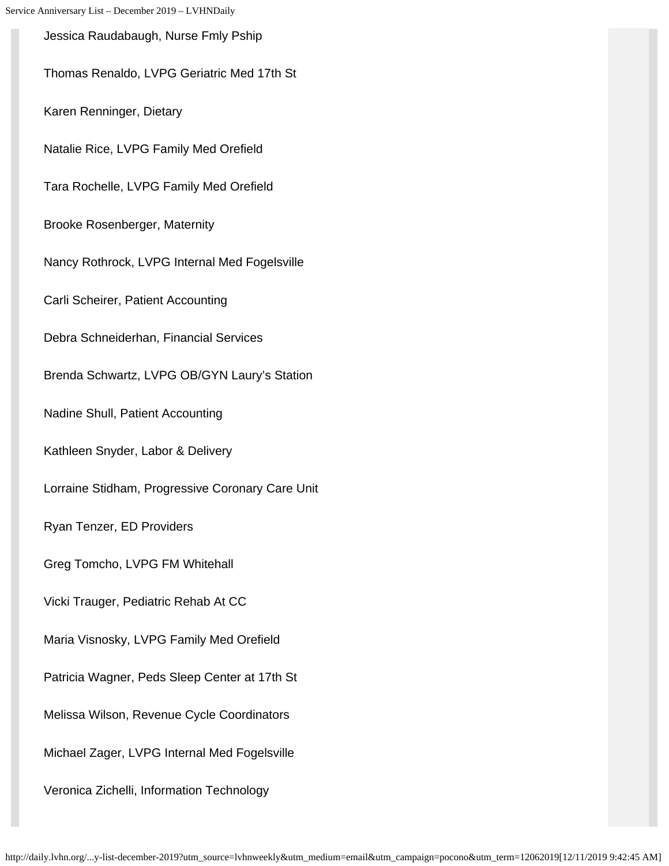Jessica Raudabaugh, Nurse Fmly Pship Thomas Renaldo, LVPG Geriatric Med 17th St Karen Renninger, Dietary Natalie Rice, LVPG Family Med Orefield Tara Rochelle, LVPG Family Med Orefield Brooke Rosenberger, Maternity Nancy Rothrock, LVPG Internal Med Fogelsville Carli Scheirer, Patient Accounting Debra Schneiderhan, Financial Services Brenda Schwartz, LVPG OB/GYN Laury's Station Nadine Shull, Patient Accounting Kathleen Snyder, Labor & Delivery Lorraine Stidham, Progressive Coronary Care Unit Ryan Tenzer, ED Providers Greg Tomcho, LVPG FM Whitehall Vicki Trauger, Pediatric Rehab At CC Maria Visnosky, LVPG Family Med Orefield Patricia Wagner, Peds Sleep Center at 17th St Melissa Wilson, Revenue Cycle Coordinators Michael Zager, LVPG Internal Med Fogelsville Veronica Zichelli, Information Technology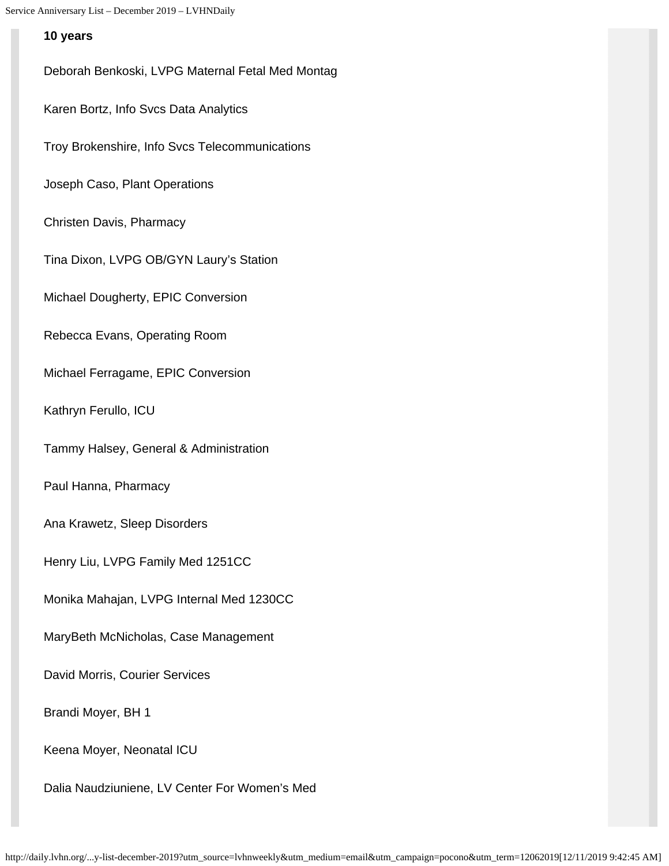#### **10 years**

Deborah Benkoski, LVPG Maternal Fetal Med Montag Karen Bortz, Info Svcs Data Analytics Troy Brokenshire, Info Svcs Telecommunications Joseph Caso, Plant Operations Christen Davis, Pharmacy Tina Dixon, LVPG OB/GYN Laury's Station Michael Dougherty, EPIC Conversion Rebecca Evans, Operating Room Michael Ferragame, EPIC Conversion Kathryn Ferullo, ICU Tammy Halsey, General & Administration Paul Hanna, Pharmacy Ana Krawetz, Sleep Disorders Henry Liu, LVPG Family Med 1251CC Monika Mahajan, LVPG Internal Med 1230CC MaryBeth McNicholas, Case Management David Morris, Courier Services Brandi Moyer, BH 1 Keena Moyer, Neonatal ICU

Dalia Naudziuniene, LV Center For Women's Med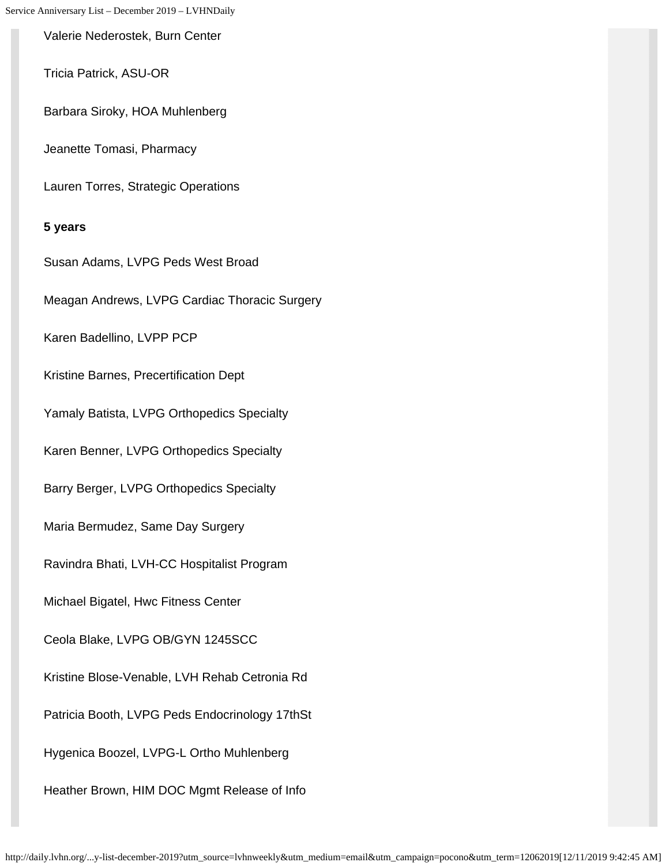Valerie Nederostek, Burn Center

Tricia Patrick, ASU-OR

Barbara Siroky, HOA Muhlenberg

Jeanette Tomasi, Pharmacy

Lauren Torres, Strategic Operations

#### **5 years**

Susan Adams, LVPG Peds West Broad Meagan Andrews, LVPG Cardiac Thoracic Surgery Karen Badellino, LVPP PCP Kristine Barnes, Precertification Dept Yamaly Batista, LVPG Orthopedics Specialty Karen Benner, LVPG Orthopedics Specialty Barry Berger, LVPG Orthopedics Specialty Maria Bermudez, Same Day Surgery Ravindra Bhati, LVH-CC Hospitalist Program Michael Bigatel, Hwc Fitness Center Ceola Blake, LVPG OB/GYN 1245SCC Kristine Blose-Venable, LVH Rehab Cetronia Rd Patricia Booth, LVPG Peds Endocrinology 17thSt Hygenica Boozel, LVPG-L Ortho Muhlenberg Heather Brown, HIM DOC Mgmt Release of Info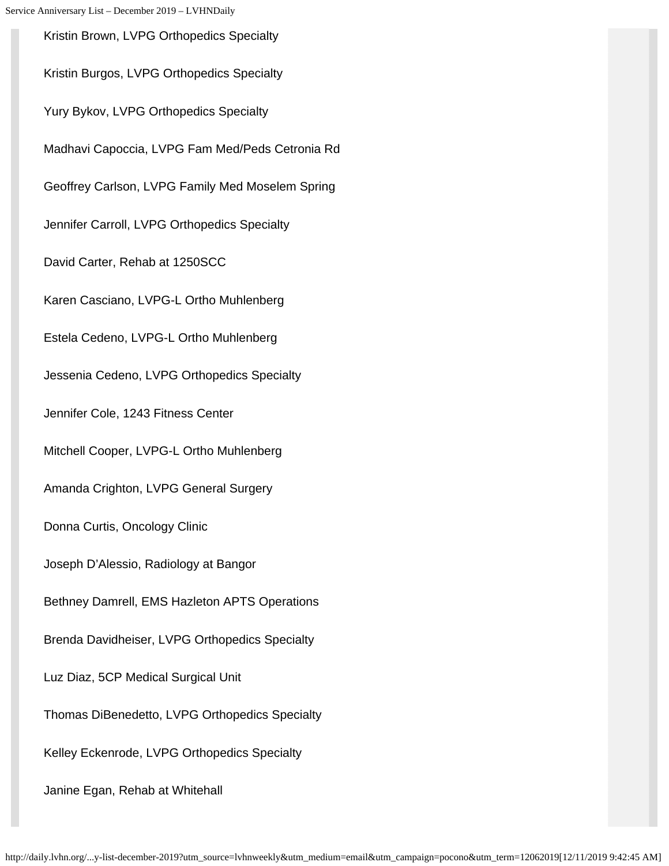Kristin Brown, LVPG Orthopedics Specialty Kristin Burgos, LVPG Orthopedics Specialty Yury Bykov, LVPG Orthopedics Specialty Madhavi Capoccia, LVPG Fam Med/Peds Cetronia Rd Geoffrey Carlson, LVPG Family Med Moselem Spring Jennifer Carroll, LVPG Orthopedics Specialty David Carter, Rehab at 1250SCC Karen Casciano, LVPG-L Ortho Muhlenberg Estela Cedeno, LVPG-L Ortho Muhlenberg Jessenia Cedeno, LVPG Orthopedics Specialty Jennifer Cole, 1243 Fitness Center Mitchell Cooper, LVPG-L Ortho Muhlenberg Amanda Crighton, LVPG General Surgery Donna Curtis, Oncology Clinic Joseph D'Alessio, Radiology at Bangor Bethney Damrell, EMS Hazleton APTS Operations Brenda Davidheiser, LVPG Orthopedics Specialty Luz Diaz, 5CP Medical Surgical Unit Thomas DiBenedetto, LVPG Orthopedics Specialty Kelley Eckenrode, LVPG Orthopedics Specialty Janine Egan, Rehab at Whitehall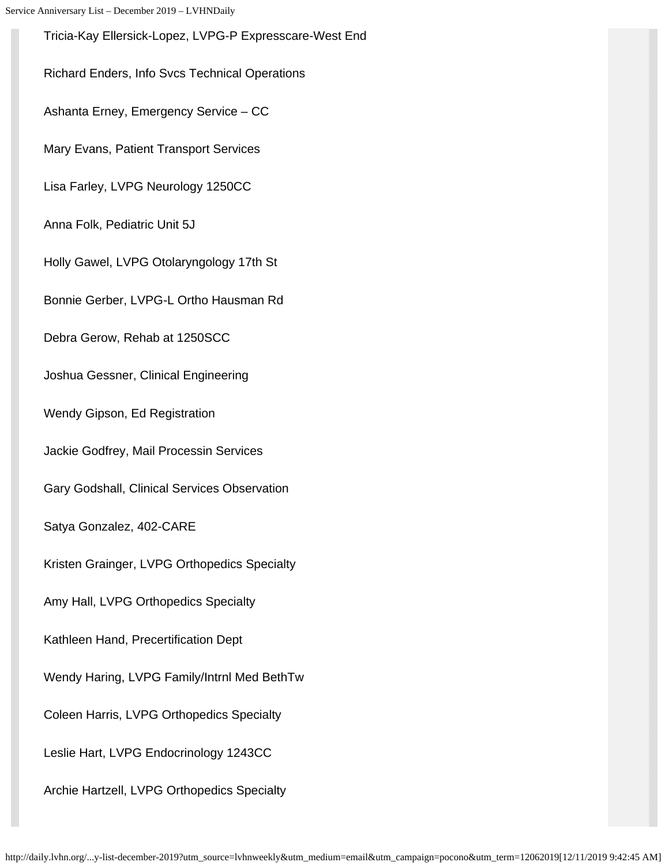Tricia-Kay Ellersick-Lopez, LVPG-P Expresscare-West End Richard Enders, Info Svcs Technical Operations Ashanta Erney, Emergency Service – CC Mary Evans, Patient Transport Services Lisa Farley, LVPG Neurology 1250CC Anna Folk, Pediatric Unit 5J Holly Gawel, LVPG Otolaryngology 17th St Bonnie Gerber, LVPG-L Ortho Hausman Rd Debra Gerow, Rehab at 1250SCC Joshua Gessner, Clinical Engineering Wendy Gipson, Ed Registration Jackie Godfrey, Mail Processin Services Gary Godshall, Clinical Services Observation Satya Gonzalez, 402-CARE Kristen Grainger, LVPG Orthopedics Specialty Amy Hall, LVPG Orthopedics Specialty Kathleen Hand, Precertification Dept Wendy Haring, LVPG Family/Intrnl Med BethTw Coleen Harris, LVPG Orthopedics Specialty Leslie Hart, LVPG Endocrinology 1243CC Archie Hartzell, LVPG Orthopedics Specialty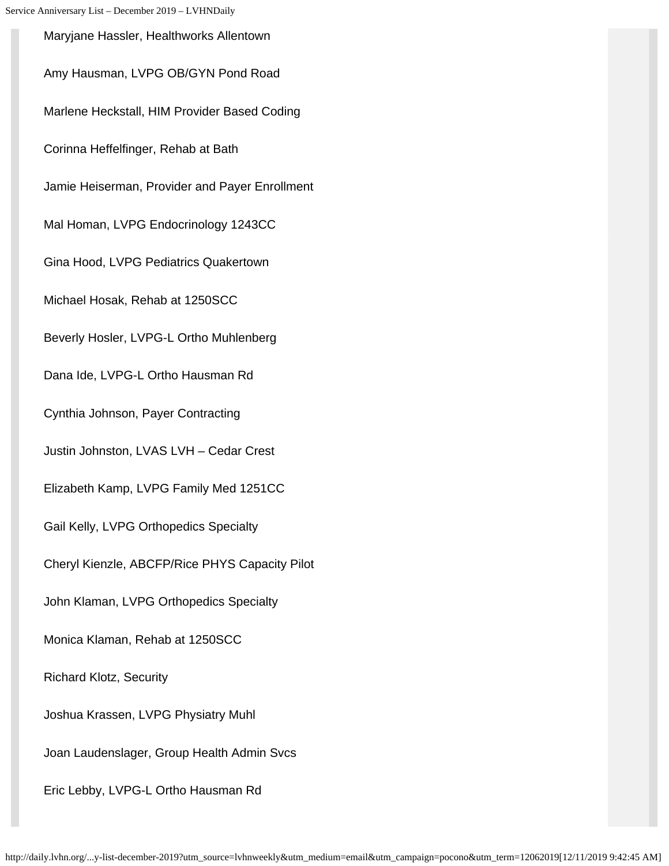Maryjane Hassler, Healthworks Allentown Amy Hausman, LVPG OB/GYN Pond Road Marlene Heckstall, HIM Provider Based Coding Corinna Heffelfinger, Rehab at Bath Jamie Heiserman, Provider and Payer Enrollment Mal Homan, LVPG Endocrinology 1243CC Gina Hood, LVPG Pediatrics Quakertown Michael Hosak, Rehab at 1250SCC Beverly Hosler, LVPG-L Ortho Muhlenberg Dana Ide, LVPG-L Ortho Hausman Rd Cynthia Johnson, Payer Contracting Justin Johnston, LVAS LVH – Cedar Crest Elizabeth Kamp, LVPG Family Med 1251CC Gail Kelly, LVPG Orthopedics Specialty Cheryl Kienzle, ABCFP/Rice PHYS Capacity Pilot John Klaman, LVPG Orthopedics Specialty Monica Klaman, Rehab at 1250SCC Richard Klotz, Security Joshua Krassen, LVPG Physiatry Muhl Joan Laudenslager, Group Health Admin Svcs Eric Lebby, LVPG-L Ortho Hausman Rd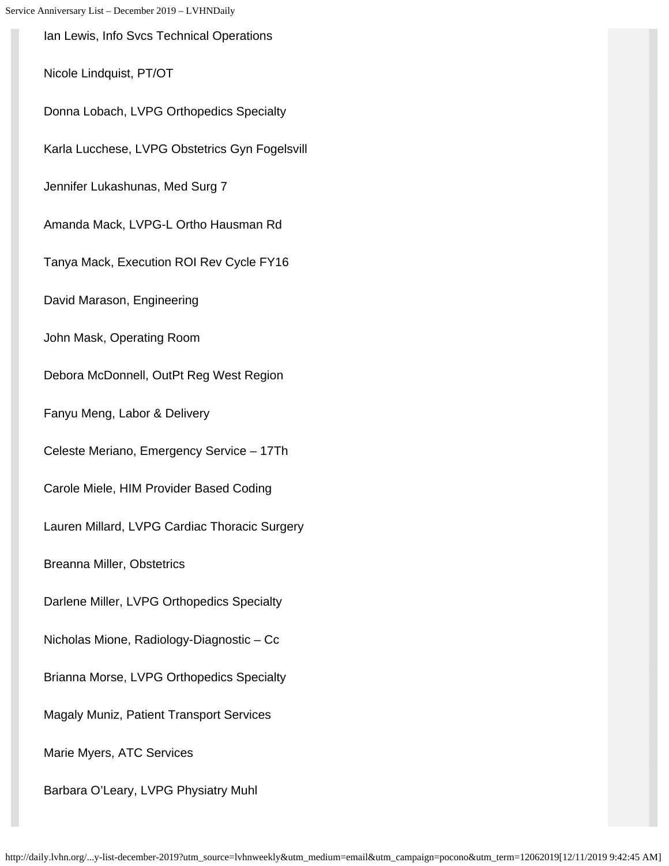Ian Lewis, Info Svcs Technical Operations Nicole Lindquist, PT/OT Donna Lobach, LVPG Orthopedics Specialty Karla Lucchese, LVPG Obstetrics Gyn Fogelsvill Jennifer Lukashunas, Med Surg 7 Amanda Mack, LVPG-L Ortho Hausman Rd Tanya Mack, Execution ROI Rev Cycle FY16 David Marason, Engineering John Mask, Operating Room Debora McDonnell, OutPt Reg West Region Fanyu Meng, Labor & Delivery Celeste Meriano, Emergency Service – 17Th Carole Miele, HIM Provider Based Coding Lauren Millard, LVPG Cardiac Thoracic Surgery Breanna Miller, Obstetrics Darlene Miller, LVPG Orthopedics Specialty Nicholas Mione, Radiology-Diagnostic – Cc Brianna Morse, LVPG Orthopedics Specialty Magaly Muniz, Patient Transport Services Marie Myers, ATC Services Barbara O'Leary, LVPG Physiatry Muhl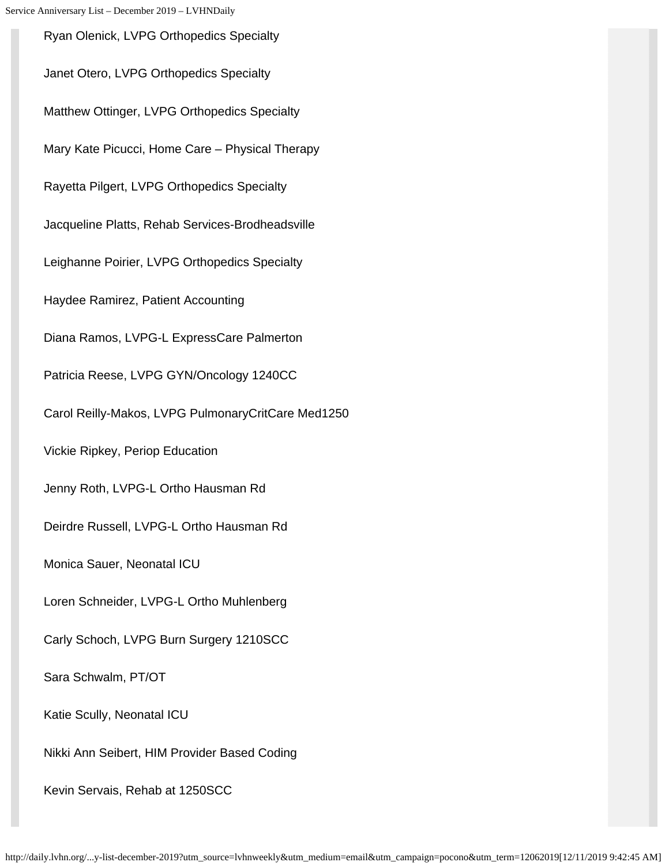Ryan Olenick, LVPG Orthopedics Specialty Janet Otero, LVPG Orthopedics Specialty Matthew Ottinger, LVPG Orthopedics Specialty Mary Kate Picucci, Home Care – Physical Therapy Rayetta Pilgert, LVPG Orthopedics Specialty Jacqueline Platts, Rehab Services-Brodheadsville Leighanne Poirier, LVPG Orthopedics Specialty Haydee Ramirez, Patient Accounting Diana Ramos, LVPG-L ExpressCare Palmerton Patricia Reese, LVPG GYN/Oncology 1240CC Carol Reilly-Makos, LVPG PulmonaryCritCare Med1250 Vickie Ripkey, Periop Education Jenny Roth, LVPG-L Ortho Hausman Rd Deirdre Russell, LVPG-L Ortho Hausman Rd Monica Sauer, Neonatal ICU Loren Schneider, LVPG-L Ortho Muhlenberg Carly Schoch, LVPG Burn Surgery 1210SCC Sara Schwalm, PT/OT Katie Scully, Neonatal ICU Nikki Ann Seibert, HIM Provider Based Coding Kevin Servais, Rehab at 1250SCC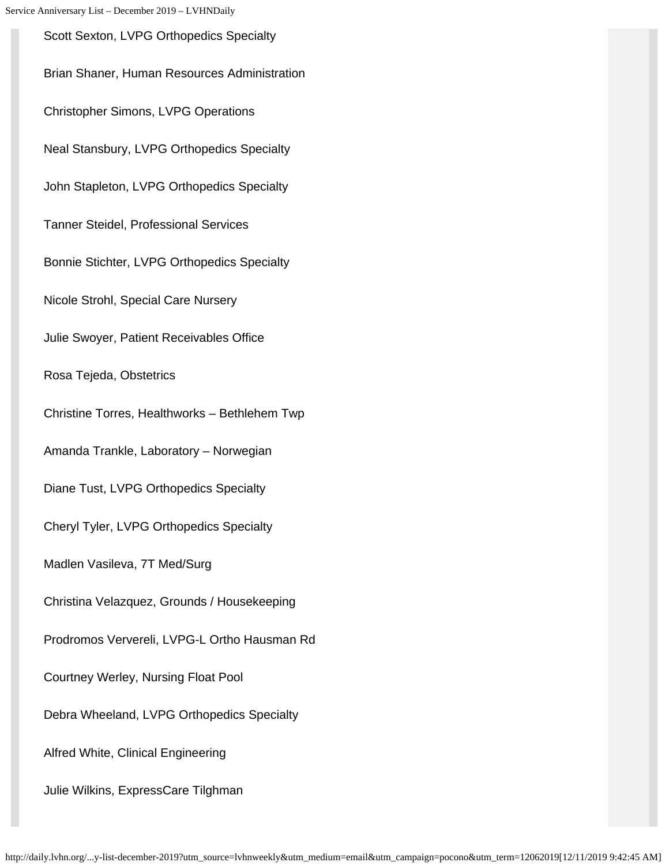Scott Sexton, LVPG Orthopedics Specialty Brian Shaner, Human Resources Administration Christopher Simons, LVPG Operations Neal Stansbury, LVPG Orthopedics Specialty John Stapleton, LVPG Orthopedics Specialty Tanner Steidel, Professional Services Bonnie Stichter, LVPG Orthopedics Specialty Nicole Strohl, Special Care Nursery Julie Swoyer, Patient Receivables Office Rosa Tejeda, Obstetrics Christine Torres, Healthworks – Bethlehem Twp Amanda Trankle, Laboratory – Norwegian Diane Tust, LVPG Orthopedics Specialty Cheryl Tyler, LVPG Orthopedics Specialty Madlen Vasileva, 7T Med/Surg Christina Velazquez, Grounds / Housekeeping Prodromos Ververeli, LVPG-L Ortho Hausman Rd Courtney Werley, Nursing Float Pool Debra Wheeland, LVPG Orthopedics Specialty Alfred White, Clinical Engineering Julie Wilkins, ExpressCare Tilghman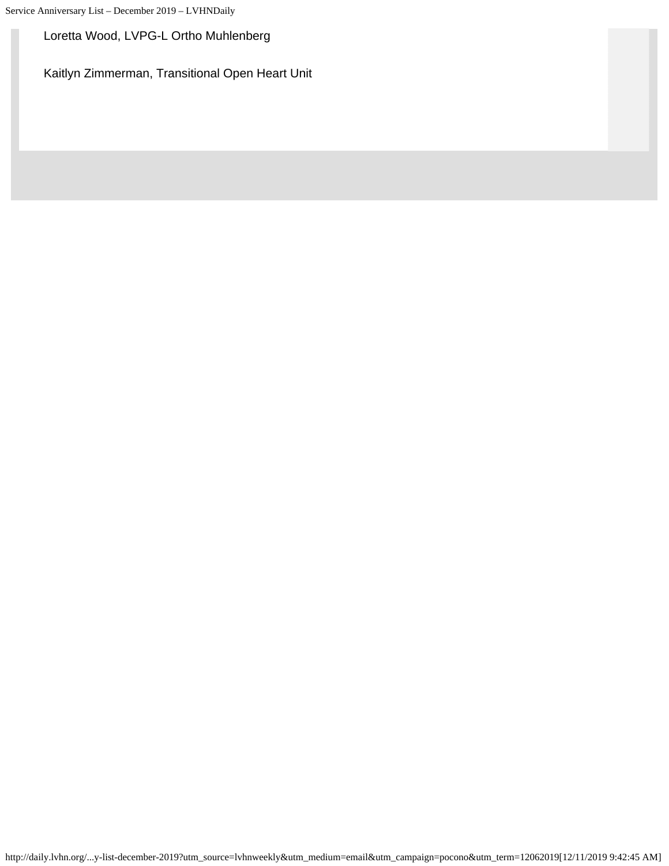#### Loretta Wood, LVPG-L Ortho Muhlenberg

Kaitlyn Zimmerman, Transitional Open Heart Unit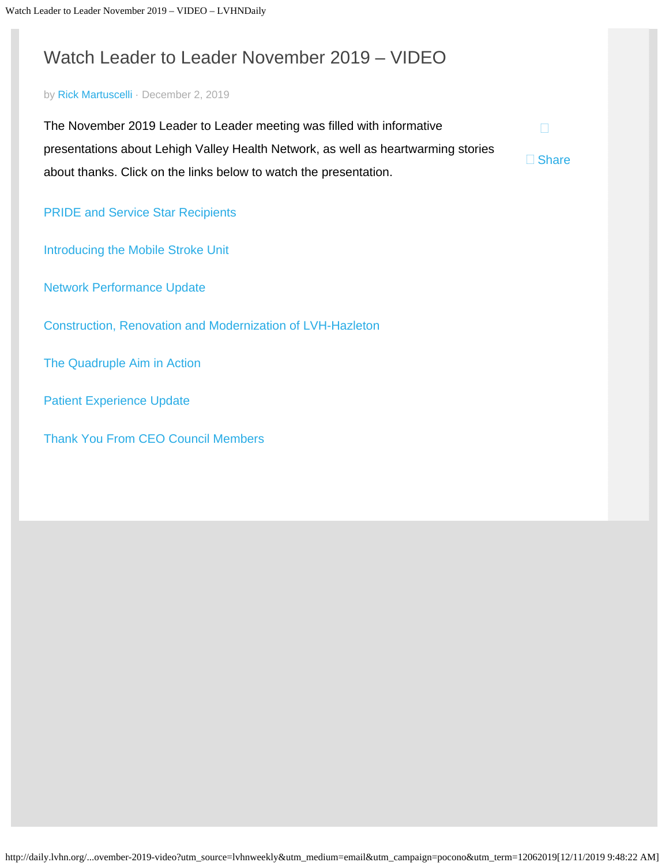# <span id="page-35-0"></span>Watch Leader to Leader November 2019 – VIDEO

#### by [Rick Martuscelli](http://daily.lvhn.org/author/rmartuscelli) · December 2, 2019

The November 2019 Leader to Leader meeting was filled with informative presentations about Lehigh Valley Health Network, as well as heartwarming stories about thanks. Click on the links below to watch the presentation.

 $\Box$ 

□ Share

[PRIDE and Service Star Recipients](https://lvhn.mediasite.com/mediasite/Play/1d63a3c99f1642a7bffaa8e757ad86c01d)

[Introducing the Mobile Stroke Unit](https://lvhn.mediasite.com/mediasite/Play/65721ad558074be3a4f3e8a18b054b521d)

[Network Performance Update](https://lvhn.mediasite.com/mediasite/Play/a969b4706f424a688a01163d3f21a0b21d)

[Construction, Renovation and Modernization of LVH-Hazleton](https://lvhn.mediasite.com/mediasite/Play/f599dc9bcb1346cda2e75c84cc70d93f1d)

[The Quadruple Aim in Action](https://lvhn.mediasite.com/mediasite/Play/793320c309214a429a223fcfc9922b201d)

[Patient Experience Update](https://lvhn.mediasite.com/mediasite/Play/0aab1f8754354887af6dc8328f751e701d)

[Thank You From CEO Council Members](https://lvhn.mediasite.com/mediasite/Play/8666d948aa8e452d9deffb7f2d8b11c91d)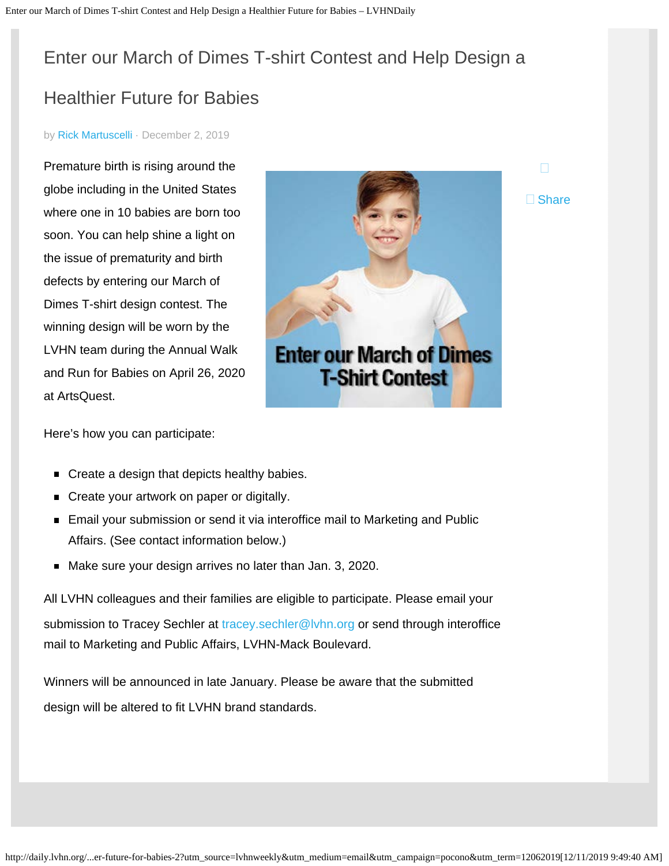# <span id="page-36-0"></span>Enter our March of Dimes T-shirt Contest and Help Design a

# Healthier Future for Babies

#### by [Rick Martuscelli](http://daily.lvhn.org/author/rmartuscelli) · December 2, 2019

Premature birth is rising around the globe including in the United States where one in 10 babies are born too soon. You can help shine a light on the issue of prematurity and birth defects by entering our March of Dimes T-shirt design contest. The winning design will be worn by the LVHN team during the Annual Walk and Run for Babies on April 26, 2020 at ArtsQuest.



□ Share

Here's how you can participate:

- Create a design that depicts healthy babies.
- Create your artwork on paper or digitally.
- Email your submission or send it via interoffice mail to Marketing and Public Affairs. (See contact information below.)
- Make sure your design arrives no later than Jan. 3, 2020.

All LVHN colleagues and their families are eligible to participate. Please email your submission to Tracey Sechler at tracey.sechler@lyhn.org or send through interoffice mail to Marketing and Public Affairs, LVHN-Mack Boulevard.

Winners will be announced in late January. Please be aware that the submitted design will be altered to fit LVHN brand standards.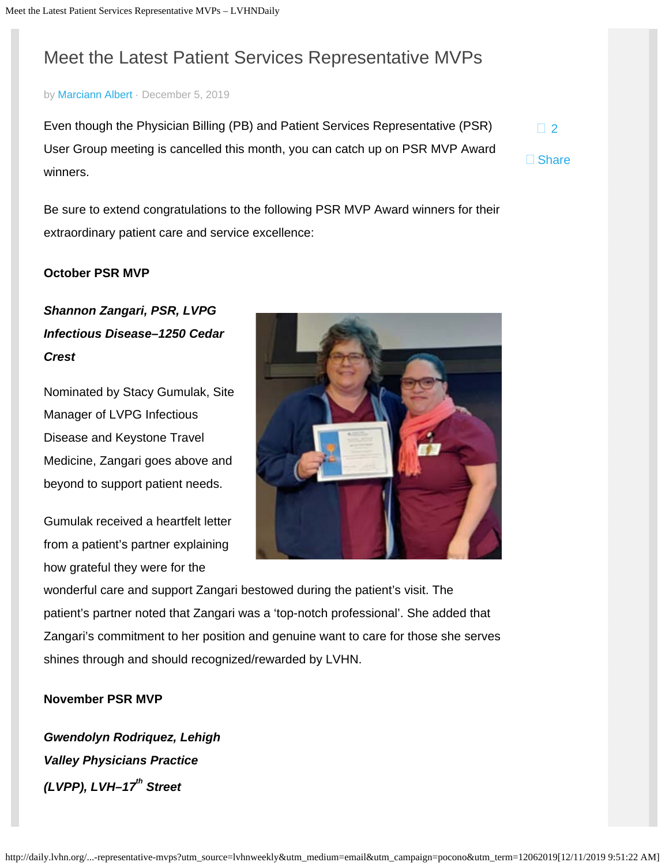# <span id="page-37-0"></span>Meet the Latest Patient Services Representative MVPs

#### by [Marciann Albert](http://daily.lvhn.org/author/marciann-albert) · December 5, 2019

Even though the Physician Billing (PB) and Patient Services Representative (PSR) User Group meeting is cancelled this month, you can catch up on PSR MVP Award winners.  $\Box$ [2](#page-37-0) □ Share

Be sure to extend congratulations to the following PSR MVP Award winners for their extraordinary patient care and service excellence:

#### **October PSR MVP**

# *Shannon Zangari, PSR, LVPG Infectious Disease–1250 Cedar Crest*

Nominated by Stacy Gumulak, Site Manager of LVPG Infectious Disease and Keystone Travel Medicine, Zangari goes above and beyond to support patient needs.

Gumulak received a heartfelt letter from a patient's partner explaining how grateful they were for the



wonderful care and support Zangari bestowed during the patient's visit. The patient's partner noted that Zangari was a 'top-notch professional'. She added that Zangari's commitment to her position and genuine want to care for those she serves shines through and should recognized/rewarded by LVHN.

#### **November PSR MVP**

*Gwendolyn Rodriquez, Lehigh Valley Physicians Practice (LVPP), LVH-17<sup>th</sup> Street*